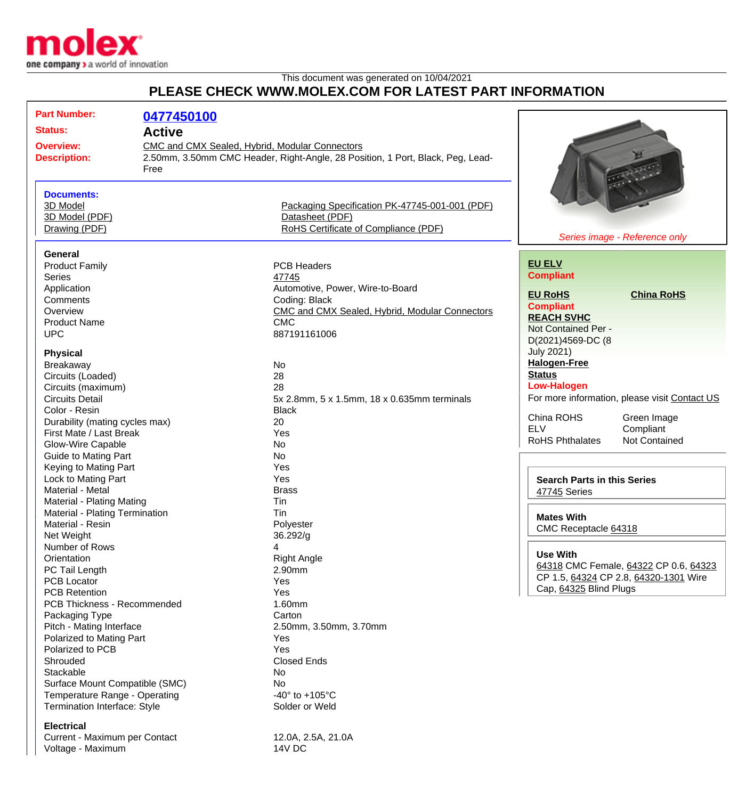

This document was generated on 10/04/2021

## **PLEASE CHECK WWW.MOLEX.COM FOR LATEST PART INFORMATION**

| <b>Part Number:</b><br><b>Status:</b><br><b>Overview:</b><br><b>Description:</b>                                                                           | 0477450100<br><b>Active</b><br>CMC and CMX Sealed, Hybrid, Modular Connectors<br>2.50mm, 3.50mm CMC Header, Right-Angle, 28 Position, 1 Port, Black, Peg, Lead-<br>Free |                                                                                                                                                  |                                                                                                                                                         |
|------------------------------------------------------------------------------------------------------------------------------------------------------------|-------------------------------------------------------------------------------------------------------------------------------------------------------------------------|--------------------------------------------------------------------------------------------------------------------------------------------------|---------------------------------------------------------------------------------------------------------------------------------------------------------|
| <b>Documents:</b><br>3D Model<br>3D Model (PDF)<br>Drawing (PDF)                                                                                           |                                                                                                                                                                         | Packaging Specification PK-47745-001-001 (PDF)<br>Datasheet (PDF)<br>RoHS Certificate of Compliance (PDF)                                        | Series image - Reference only                                                                                                                           |
| <b>General</b><br><b>Product Family</b><br><b>Series</b><br>Application<br>Comments<br>Overview<br><b>Product Name</b>                                     |                                                                                                                                                                         | <b>PCB Headers</b><br>47745<br>Automotive, Power, Wire-to-Board<br>Coding: Black<br>CMC and CMX Sealed, Hybrid, Modular Connectors<br><b>CMC</b> | <b>EU ELV</b><br><b>Compliant</b><br><b>EU RoHS</b><br><b>China RoHS</b><br><b>Compliant</b><br><b>REACH SVHC</b>                                       |
| <b>UPC</b><br><b>Physical</b><br>Breakaway<br>Circuits (Loaded)<br>Circuits (maximum)                                                                      |                                                                                                                                                                         | 887191161006<br>No<br>28<br>28                                                                                                                   | Not Contained Per -<br>D(2021)4569-DC (8<br><b>July 2021)</b><br><b>Halogen-Free</b><br><b>Status</b><br><b>Low-Halogen</b>                             |
| <b>Circuits Detail</b><br>Color - Resin<br>Durability (mating cycles max)<br>First Mate / Last Break<br>Glow-Wire Capable<br><b>Guide to Mating Part</b>   |                                                                                                                                                                         | 5x 2.8mm, 5 x 1.5mm, 18 x 0.635mm terminals<br><b>Black</b><br>20<br>Yes<br><b>No</b><br><b>No</b>                                               | For more information, please visit Contact US<br>China ROHS<br>Green Image<br><b>ELV</b><br>Compliant<br><b>RoHS Phthalates</b><br><b>Not Contained</b> |
| Keying to Mating Part<br>Lock to Mating Part<br>Material - Metal<br><b>Material - Plating Mating</b><br>Material - Plating Termination<br>Material - Resin |                                                                                                                                                                         | Yes<br>Yes<br><b>Brass</b><br>Tin<br>Tin<br>Polyester                                                                                            | <b>Search Parts in this Series</b><br>47745 Series<br><b>Mates With</b>                                                                                 |
| Net Weight<br>Number of Rows<br>Orientation<br>PC Tail Length<br><b>PCB Locator</b><br><b>PCB Retention</b>                                                |                                                                                                                                                                         | 36.292/g<br>4<br><b>Right Angle</b><br>2.90mm<br>Yes<br>Yes                                                                                      | CMC Receptacle 64318<br><b>Use With</b><br>64318 CMC Female, 64322 CP 0.6, 64323<br>CP 1.5, 64324 CP 2.8, 64320-1301 Wire<br>Cap, 64325 Blind Plugs     |
| PCB Thickness - Recommended<br>Packaging Type<br>Pitch - Mating Interface<br>Polarized to Mating Part<br>Polarized to PCB<br>Shrouded                      |                                                                                                                                                                         | 1.60mm<br>Carton<br>2.50mm, 3.50mm, 3.70mm<br>Yes<br>Yes<br><b>Closed Ends</b>                                                                   |                                                                                                                                                         |
| Stackable<br>Surface Mount Compatible (SMC)<br>Temperature Range - Operating<br>Termination Interface: Style<br><b>Electrical</b>                          |                                                                                                                                                                         | No<br>No<br>-40 $\degree$ to +105 $\degree$ C<br>Solder or Weld                                                                                  |                                                                                                                                                         |

Current - Maximum per Contact 12.0A, 2.5A, 21.0A Voltage - Maximum 14V DC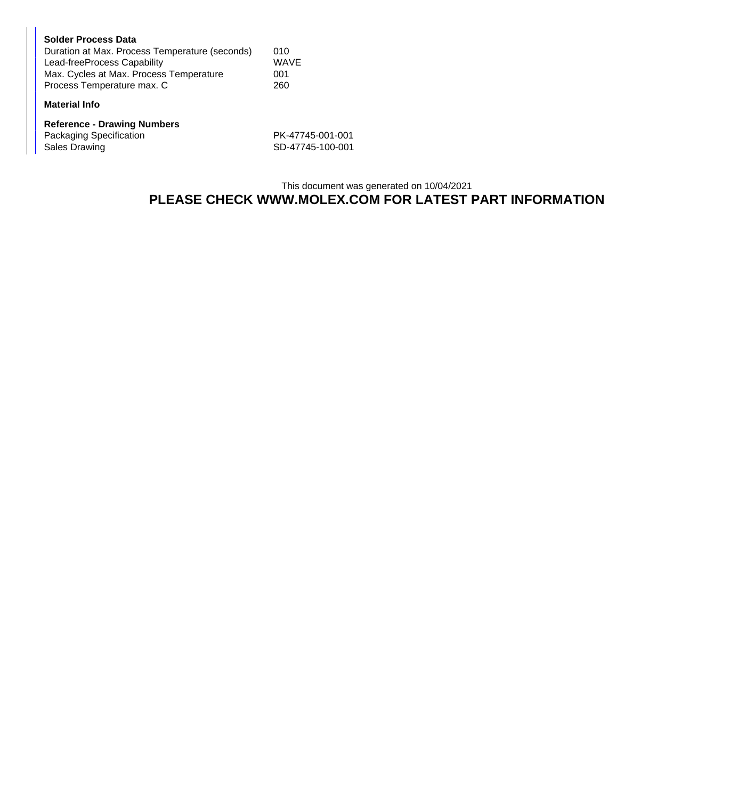| <b>Solder Process Data</b>                     |             |
|------------------------------------------------|-------------|
| Duration at Max. Process Temperature (seconds) | 010         |
| Lead-freeProcess Capability                    | <b>WAVE</b> |
| Max. Cycles at Max. Process Temperature        | 001         |
| Process Temperature max. C                     | 260         |
|                                                |             |

## **Material Info**

| <b>Reference - Drawing Numbers</b> |                  |  |  |  |
|------------------------------------|------------------|--|--|--|
| Packaging Specification            | PK-47745-001-001 |  |  |  |
| Sales Drawing                      | SD-47745-100-001 |  |  |  |

## This document was generated on 10/04/2021 **PLEASE CHECK WWW.MOLEX.COM FOR LATEST PART INFORMATION**